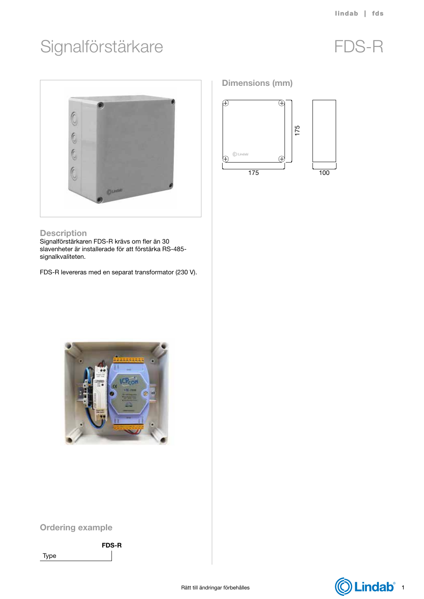# Signalförstärkare FDS-R



#### **Description**

Signalförstärkaren FDS-R krävs om fler än 30 slavenheter är installerade för att förstärka RS-485 signalkvaliteten.

FDS-R levereras med en separat transformator (230 V).

### Dimensions (mm)





## Ordering example

Type

FDS-R